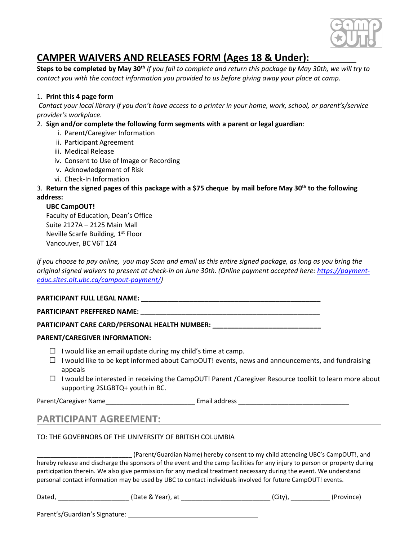

# **CAMPER WAIVERS AND RELEASES FORM (Ages 18 & Under):**

**Steps to be completed by May 30th** *If you fail to complete and return this package by May 30th, we will try to contact you with the contact information you provided to us before giving away your place at camp.*

### 1. **Print this 4 page form**

*Contact your local library if you don't have access to a printer in your home, work, school, or parent's/service provider's workplace.*

### 2. **Sign and/or complete the following form segments with a parent or legal guardian**:

- i. Parent/Caregiver Information
- ii. Participant Agreement
- iii. Medical Release
- iv. Consent to Use of Image or Recording
- v. Acknowledgement of Risk
- vi. Check-In Information

### 3. **Return the signed pages of this package with a \$75 cheque by mail before May 30th to the following address:**

### **UBC CampOUT!**

Faculty of Education, Dean's Office Suite 2127A – 2125 Main Mall Neville Scarfe Building, 1<sup>st</sup> Floor Vancouver, BC V6T 1Z4

*if you choose to pay online, you may Scan and email us this entire signed package, as long as you bring the original signed waivers to present at check-in on June 30th. (Online payment accepted here[: https://payment](https://payment-educ.sites.olt.ubc.ca/campout-payment/)[educ.sites.olt.ubc.ca/campout-payment/\)](https://payment-educ.sites.olt.ubc.ca/campout-payment/)*

### **PARTICIPANT FULL LEGAL NAME: \_\_\_\_\_\_\_\_\_\_\_\_\_\_\_\_\_\_\_\_\_\_\_\_\_\_\_\_\_\_\_\_\_\_\_\_\_\_\_\_\_\_\_\_\_\_\_\_**

### **PARTICIPANT PREFFERED NAME: \_\_\_\_\_\_\_\_\_\_\_\_\_\_\_\_\_\_\_\_\_\_\_\_\_\_\_\_\_\_\_\_\_\_\_\_\_\_\_\_\_\_\_\_\_\_\_\_**

**PARTICIPANT CARE CARD/PERSONAL HEALTH NUMBER: \_\_\_\_\_\_\_\_\_\_\_\_\_\_\_\_\_\_\_\_\_\_\_\_\_\_\_\_\_**

### **PARENT/CAREGIVER INFORMATION:**

- $\Box$  I would like an email update during my child's time at camp.
- $\Box$  I would like to be kept informed about CampOUT! events, news and announcements, and fundraising appeals
- $\Box$  I would be interested in receiving the CampOUT! Parent /Caregiver Resource toolkit to learn more about supporting 2SLGBTQ+ youth in BC.

Parent/Caregiver Name\_\_\_\_\_\_\_\_\_\_\_\_\_\_\_\_\_\_\_\_\_\_\_\_\_ Email address \_\_\_\_\_\_\_\_\_\_\_\_\_\_\_\_\_\_\_\_\_\_\_\_\_\_\_\_\_\_\_

### **PARTICIPANT AGREEMENT:**

### TO: THE GOVERNORS OF THE UNIVERSITY OF BRITISH COLUMBIA

\_\_\_\_\_\_\_\_\_\_\_\_\_\_\_\_\_\_\_\_\_\_\_\_\_\_\_\_ (Parent/Guardian Name) hereby consent to my child attending UBC's CampOUT!, and hereby release and discharge the sponsors of the event and the camp facilities for any injury to person or property during participation therein. We also give permission for any medical treatment necessary during the event. We understand personal contact information may be used by UBC to contact individuals involved for future CampOUT! events.

| Dated, | (Date & Year), at | (Citv' | (Province) |
|--------|-------------------|--------|------------|
|        |                   |        |            |

Parent's/Guardian's Signature: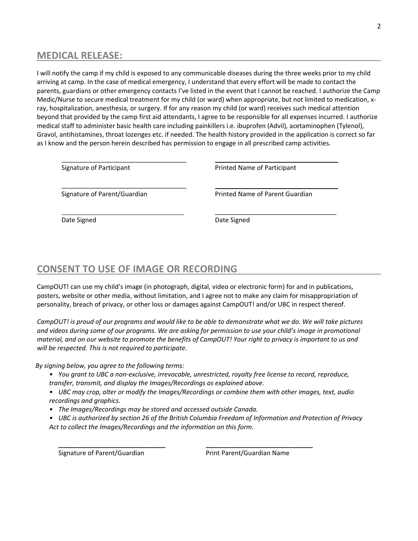## **MEDICAL RELEASE:**

I will notify the camp if my child is exposed to any communicable diseases during the three weeks prior to my child arriving at camp. In the case of medical emergency, I understand that every effort will be made to contact the parents, guardians or other emergency contacts I've listed in the event that I cannot be reached. I authorize the Camp Medic/Nurse to secure medical treatment for my child (or ward) when appropriate, but not limited to medication, xray, hospitalization, anesthesia, or surgery. If for any reason my child (or ward) receives such medical attention beyond that provided by the camp first aid attendants, I agree to be responsible for all expenses incurred. I authorize medical staff to administer basic health care including painkillers i.e. ibuprofen (Advil), acetaminophen (Tylenol), Gravol, antihistamines, throat lozenges etc. if needed. The health history provided in the application is correct so far as I know and the person herein described has permission to engage in all prescribed camp activities.

| Signature of Participant     | Printed Name of Participant     |  |
|------------------------------|---------------------------------|--|
| Signature of Parent/Guardian | Printed Name of Parent Guardian |  |
| Date Signed                  | Date Signed                     |  |

## **CONSENT TO USE OF IMAGE OR RECORDING**

CampOUT! can use my child's image (in photograph, digital, video or electronic form) for and in publications, posters, website or other media, without limitation, and I agree not to make any claim for misappropriation of personality, breach of privacy, or other loss or damages against CampOUT! and/or UBC in respect thereof.

*CampOUT! is proud of our programs and would like to be able to demonstrate what we do. We will take pictures and videos during some of our programs. We are asking for permission to use your child's image in promotional material, and on our website to promote the benefits of CampOUT! Your right to privacy is important to us and will be respected. This is not required to participate.*

*By signing below, you agree to the following terms:*

- *• You grant to UBC a non-exclusive, irrevocable, unrestricted, royalty free license to record, reproduce, transfer, transmit, and display the Images/Recordings as explained above.*
- *• UBC may crop, alter or modify the Images/Recordings or combine them with other images, text, audio recordings and graphics.*
- *• The Images/Recordings may be stored and accessed outside Canada.*
- *• UBC is authorized by section 26 of the British Columbia Freedom of Information and Protection of Privacy Act to collect the Images/Recordings and the information on this form.*

\_\_\_\_\_\_\_\_\_\_\_\_\_\_\_\_\_\_\_\_\_\_\_\_\_\_\_\_\_\_ \_\_\_\_\_\_\_\_\_\_\_\_\_\_\_\_\_\_\_\_\_\_\_\_\_\_\_\_\_\_

Signature of Parent/Guardian **Print Parent/Guardian Name**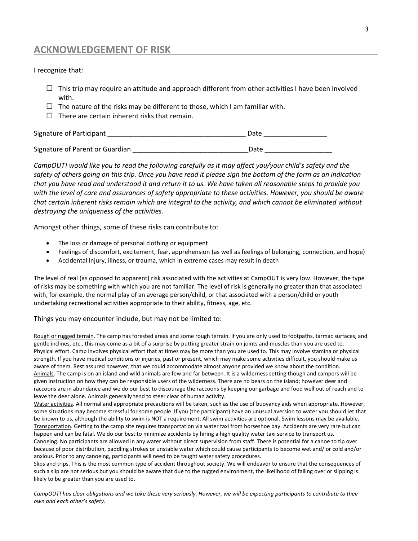### **ACKNOWLEDGEMENT OF RISK**

I recognize that:

- $\Box$  This trip may require an attitude and approach different from other activities I have been involved with.
- $\Box$  The nature of the risks may be different to those, which I am familiar with.
- $\Box$  There are certain inherent risks that remain.

| Signature of Participant        | Date |
|---------------------------------|------|
|                                 |      |
| Signature of Parent or Guardian | Date |

*CampOUT! would like you to read the following carefully as it may affect you/your child's safety and the safety of others going on this trip. Once you have read it please sign the bottom of the form as an indication that you have read and understood it and return it to us. We have taken all reasonable steps to provide you with the level of care and assurances of safety appropriate to these activities. However, you should be aware that certain inherent risks remain which are integral to the activity, and which cannot be eliminated without destroying the uniqueness of the activities.* 

Amongst other things, some of these risks can contribute to:

- The loss or damage of personal clothing or equipment
- Feelings of discomfort, excitement, fear, apprehension (as well as feelings of belonging, connection, and hope)
- Accidental injury, illness, or trauma, which in extreme cases may result in death

The level of real (as opposed to apparent) risk associated with the activities at CampOUT is very low. However, the type of risks may be something with which you are not familiar. The level of risk is generally no greater than that associated with, for example, the normal play of an average person/child, or that associated with a person/child or youth undertaking recreational activities appropriate to their ability, fitness, age, etc.

Things you may encounter include, but may not be limited to:

Rough or rugged terrain. The camp has forested areas and some rough terrain. If you are only used to footpaths, tarmac surfaces, and gentle inclines, etc., this may come as a bit of a surprise by putting greater strain on joints and muscles than you are used to. Physical effort. Camp involves physical effort that at times may be more than you are used to. This may involve stamina or physical strength. If you have medical conditions or injuries, past or present, which may make some activities difficult, you should make us aware of them. Rest assured however, that we could accommodate almost anyone provided we know about the condition. Animals. The camp is on an island and wild animals are few and far between. It is a wilderness setting though and campers will be given instruction on how they can be responsible users of the wilderness. There are no bears on the island; however deer and raccoons are in abundance and we do our best to discourage the raccoons by keeping our garbage and food well out of reach and to leave the deer alone. Animals generally tend to steer clear of human activity.

Water activities. All normal and appropriate precautions will be taken, such as the use of buoyancy aids when appropriate. However, some situations may become stressful for some people. If you (the participant) have an unusual aversion to water you should let that be known to us, although the ability to swim is NOT a requirement. All swim activities are optional. Swim lessons may be available. Transportation. Getting to the camp site requires transportation via water taxi from horseshoe bay. Accidents are very rare but can happen and can be fatal. We do our best to minimize accidents by hiring a high quality water taxi service to transport us.

Canoeing. No participants are allowed in any water without direct supervision from staff. There is potential for a canoe to tip over because of poor distribution, paddling strokes or unstable water which could cause participants to become wet and/ or cold and/or anxious. Prior to any canoeing, participants will need to be taught water safety procedures.

Slips and trips. This is the most common type of accident throughout society. We will endeavor to ensure that the consequences of such a slip are not serious but you should be aware that due to the rugged environment, the likelihood of falling over or slipping is likely to be greater than you are used to.

*CampOUT! has clear obligations and we take these very seriously. However, we will be expecting participants to contribute to their own and each other's safety.*